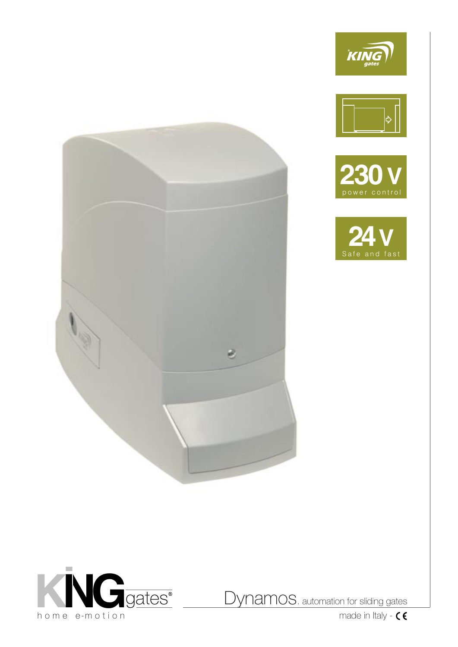









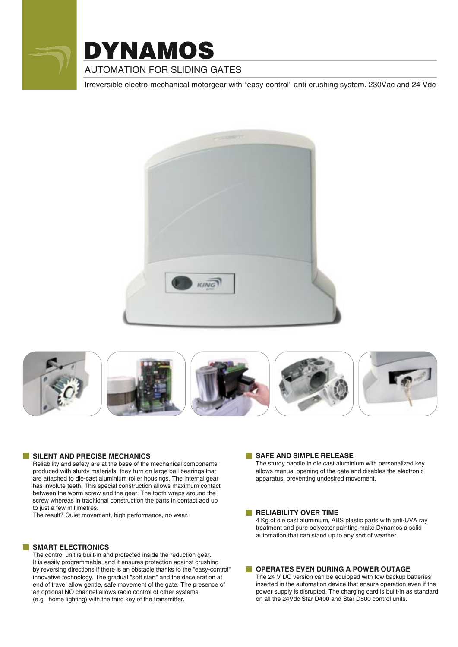

# **AUTOMATION FOR SLIDING GATES** DYNAMOS

Irreversible electro-mechanical motorgear with "easy-control" anti-crushing system. 230Vac and 24 Vdc













#### **SILENT AND PRECISE MECHANICS**

Reliability and safety are at the base of the mechanical components: produced with sturdy materials, they turn on large ball bearings that are attached to die-cast aluminium roller housings. The internal gear has involute teeth. This special construction allows maximum contact between the worm screw and the gear. The tooth wraps around the screw whereas in traditional construction the parts in contact add up to just a few millimetres.

The result? Quiet movement, high performance, no wear.

#### **SMART ELECTRONICS**

The control unit is built-in and protected inside the reduction gear. It is easily programmable, and it ensures protection against crushing by reversing directions if there is an obstacle thanks to the "easy-control" innovative technology. The gradual "soft start" and the deceleration at end of travel allow gentle, safe movement of the gate. The presence of an optional NO channel allows radio control of other systems (e.g. home lighting) with the third key of the transmitter.

#### **SAFE AND SIMPLE RELEASE**

The sturdy handle in die cast aluminium with personalized key allows manual opening of the gate and disables the electronic apparatus, preventing undesired movement.

#### **RELIABILITY OVER TIME**

4 Kg of die cast aluminium, ABS plastic parts with anti-UVA ray treatment and pure polyester painting make Dynamos a solid automation that can stand up to any sort of weather.

#### **OPERATES EVEN DURING A POWER OUTAGE**

The 24 V DC version can be equipped with tow backup batteries inserted in the automation device that ensure operation even if the power supply is disrupted. The charging card is built-in as standard on all the 24Vdc Star D400 and Star D500 control units.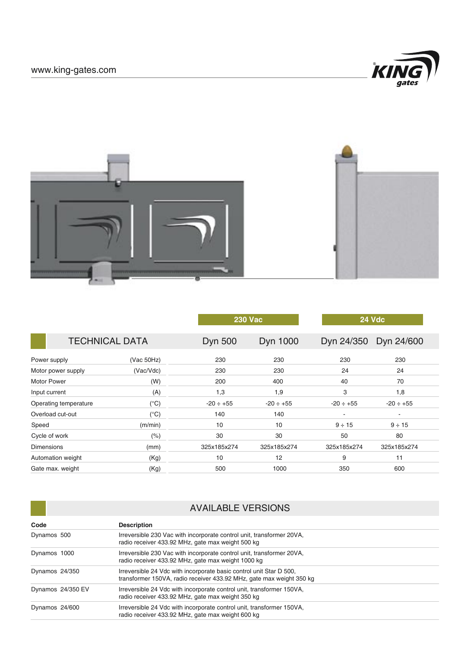



|                       |               |                | <b>230 Vac</b> | <b>24 Vdc</b>            |                |  |
|-----------------------|---------------|----------------|----------------|--------------------------|----------------|--|
| <b>TECHNICAL DATA</b> |               | <b>Dyn 500</b> | Dyn 1000       | Dyn 24/350               | Dyn 24/600     |  |
| Power supply          | (Vac 50Hz)    | 230            | 230            | 230                      | 230            |  |
| Motor power supply    | (Vac/Vdc)     | 230            | 230            | 24                       | 24             |  |
| <b>Motor Power</b>    | (W)           | 200            | 400            | 40                       | 70             |  |
| Input current         | (A)           | 1,3            | 1,9            | 3                        | 1,8            |  |
| Operating temperature | $(^{\circ}C)$ | $-20 \div +55$ | $-20 \div +55$ | $-20 \div +55$           | $-20 \div +55$ |  |
| Overload cut-out      | $(^\circ C)$  | 140            | 140            | $\overline{\phantom{a}}$ | $\blacksquare$ |  |
| Speed                 | (m/min)       | 10             | 10             | $9 \div 15$              | $9 \div 15$    |  |
| Cycle of work         | (%)           | 30             | 30             | 50                       | 80             |  |
| <b>Dimensions</b>     | (mm)          | 325x185x274    | 325x185x274    | 325x185x274              | 325x185x274    |  |
| Automation weight     | (Kg)          | 10             | 12             | 9<br>11                  |                |  |
| Gate max. weight      | (Kg)          | 500            | 1000           | 350                      | 600            |  |
|                       |               |                |                |                          |                |  |

| <b>AVAILABLE VERSIONS</b> |                                                                                                                                             |  |  |  |
|---------------------------|---------------------------------------------------------------------------------------------------------------------------------------------|--|--|--|
| Code                      | <b>Description</b>                                                                                                                          |  |  |  |
| Dynamos 500               | Irreversible 230 Vac with incorporate control unit, transformer 20VA,<br>radio receiver 433.92 MHz, gate max weight 500 kg                  |  |  |  |
| Dynamos 1000              | Irreversible 230 Vac with incorporate control unit, transformer 20VA,<br>radio receiver 433.92 MHz, gate max weight 1000 kg                 |  |  |  |
| Dynamos 24/350            | Irreversible 24 Vdc with incorporate basic control unit Star D 500.<br>transformer 150VA, radio receiver 433.92 MHz, gate max weight 350 kg |  |  |  |
| Dynamos 24/350 EV         | Irreversible 24 Vdc with incorporate control unit, transformer 150VA,<br>radio receiver 433.92 MHz, gate max weight 350 kg                  |  |  |  |
| Dynamos 24/600            | Irreversible 24 Vdc with incorporate control unit, transformer 150VA,<br>radio receiver 433.92 MHz, gate max weight 600 kg                  |  |  |  |